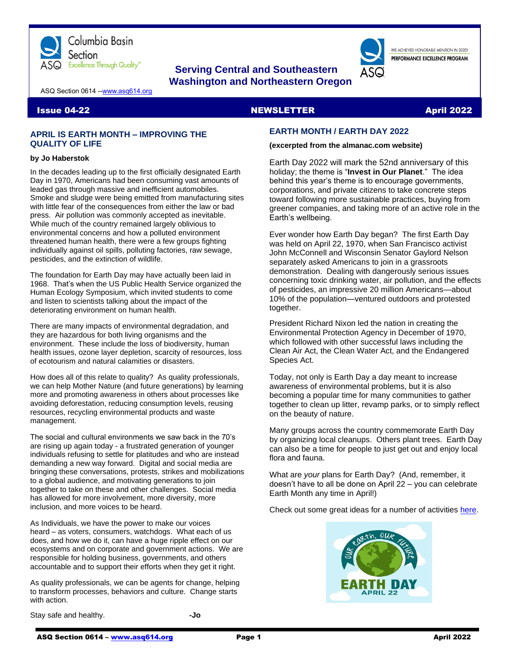

### **Serving Central and Southeastern Washington and Northeastern Oregon**

WE ACHIEVED HONORABLE MENTION IN 2020L PERFORMANCE EXCELLENCE PROGRAM

ASQ Section 0614 -[-www.asq614.org](http://www.asq614.org/)

#### **Issue 04-22 April 2022** NEWSLETTER April 2022

#### **APRIL IS EARTH MONTH – IMPROVING THE QUALITY OF LIFE**

#### **by Jo Haberstok**

In the decades leading up to the first officially designated Earth Day in 1970, Americans had been consuming vast amounts of leaded gas through massive and inefficient automobiles. Smoke and sludge were being emitted from manufacturing sites with little fear of the consequences from either the law or bad press. Air pollution was commonly accepted as inevitable. While much of the country remained largely oblivious to environmental concerns and how a polluted environment threatened human health, there were a few groups fighting individually against oil spills, polluting factories, raw sewage, pesticides, and the extinction of wildlife.

The foundation for Earth Day may have actually been laid in 1968. That's when the US Public Health Service organized the Human Ecology Symposium, which invited students to come and listen to scientists talking about the impact of the deteriorating environment on human health.

There are many impacts of environmental degradation, and they are hazardous for both living organisms and the environment. These include the loss of biodiversity, human health issues, ozone layer depletion, scarcity of resources, loss of ecotourism and natural calamities or disasters.

How does all of this relate to quality? As quality professionals, we can help Mother Nature (and future generations) by learning more and promoting awareness in others about processes like avoiding deforestation, reducing consumption levels, reusing resources, recycling environmental products and waste management.

The social and cultural environments we saw back in the 70's are rising up again today - a frustrated generation of younger individuals refusing to settle for platitudes and who are instead demanding a new way forward. Digital and social media are bringing these conversations, protests, strikes and mobilizations to a global audience, and motivating generations to join together to take on these and other challenges. Social media has allowed for more involvement, more diversity, more inclusion, and more voices to be heard.

As Individuals, we have the power to make our voices heard – as voters, consumers, watchdogs. What each of us does, and how we do it, can have a huge ripple effect on our ecosystems and on corporate and government actions. We are responsible for holding business, governments, and others accountable and to support their efforts when they get it right.

As quality professionals, we can be agents for change, helping to transform processes, behaviors and culture. Change starts with action.

Stay safe and healthy. **-Jo**

## **EARTH MONTH / EARTH DAY 2022**

### **(excerpted from the almanac.com website)**

Earth Day 2022 will mark the 52nd anniversary of this holiday; the theme is "**Invest in Our Planet**." The idea behind this year's theme is to encourage governments, corporations, and private citizens to take concrete steps toward following more sustainable practices, buying from greener companies, and taking more of an active role in the Earth's wellbeing.

Ever wonder how Earth Day began? The first Earth Day was held on April 22, 1970, when San Francisco activist John McConnell and Wisconsin Senator Gaylord Nelson separately asked Americans to join in a grassroots demonstration. Dealing with dangerously serious issues concerning toxic drinking water, air pollution, and the effects of pesticides, an impressive 20 million Americans—about 10% of the population—ventured outdoors and protested together.

President Richard Nixon led the nation in creating the Environmental Protection Agency in December of 1970, which followed with other successful laws including the Clean Air Act, the Clean Water Act, and the Endangered Species Act.

Today, not only is Earth Day a day meant to increase awareness of environmental problems, but it is also becoming a popular time for many communities to gather together to clean up litter, revamp parks, or to simply reflect on the beauty of nature.

Many groups across the country commemorate Earth Day by organizing local cleanups. Others plant trees. Earth Day can also be a time for people to just get out and enjoy local flora and fauna.

What are *your* plans for Earth Day? (And, remember, it doesn't have to all be done on April 22 – you can celebrate Earth Month any time in April!)

Check out some great ideas for a number of activities [here.](https://www.almanac.com/content/earth-day-date-activities-history)

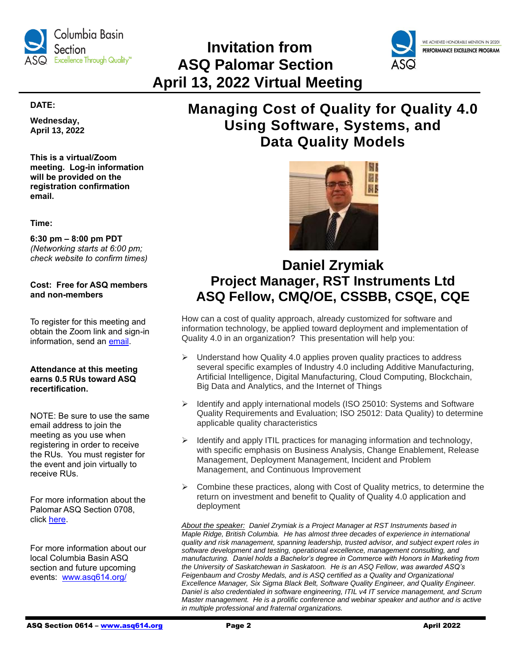

# **Invitation from ASQ Palomar Section April 13, 2022 Virtual Meeting**



#### **DATE:**

**Wednesday, April 13, 2022**

**This is a virtual/Zoom meeting. Log-in information will be provided on the registration confirmation email.**

**Time:**

**6:30 pm – 8:00 pm PDT** *(Networking starts at 6:00 pm; check website to confirm times)*

### **Cost: Free for ASQ members and non-members**

To register for this meeting and obtain the Zoom link and sign-in information, send an [email.](mailto:secretary@asqpalomar.org)

#### **Attendance at this meeting earns 0.5 RUs toward ASQ recertification.**

NOTE: Be sure to use the same email address to join the meeting as you use when registering in order to receive the RUs. You must register for the event and join virtually to receive RUs.

For more information about the Palomar ASQ Section 0708, click [here.](https://my.asq.org/communities/home/347)

For more information about our local Columbia Basin ASQ section and future upcoming events: [www.asq614.org/](http://www.asq614.org/)

## **Managing Cost of Quality for Quality 4.0 Using Software, Systems, and Data Quality Models**



### **Daniel Zrymiak Project Manager, RST Instruments Ltd ASQ Fellow, CMQ/OE, CSSBB, CSQE, CQE**

How can a cost of quality approach, already customized for software and information technology, be applied toward deployment and implementation of Quality 4.0 in an organization? This presentation will help you:

- $\triangleright$  Understand how Quality 4.0 applies proven quality practices to address several specific examples of Industry 4.0 including Additive Manufacturing, Artificial Intelligence, Digital Manufacturing, Cloud Computing, Blockchain, Big Data and Analytics, and the Internet of Things
- ➢ Identify and apply international models (ISO 25010: Systems and Software Quality Requirements and Evaluation; ISO 25012: Data Quality) to determine applicable quality characteristics
- ➢ Identify and apply ITIL practices for managing information and technology, with specific emphasis on Business Analysis, Change Enablement, Release Management, Deployment Management, Incident and Problem Management, and Continuous Improvement
- $\triangleright$  Combine these practices, along with Cost of Quality metrics, to determine the return on investment and benefit to Quality of Quality 4.0 application and deployment

*About the speaker: Daniel Zrymiak is a Project Manager at RST Instruments based in Maple Ridge, British Columbia. He has almost three decades of experience in international quality and risk management, spanning leadership, trusted advisor, and subject expert roles in software development and testing, operational excellence, management consulting, and manufacturing. Daniel holds a Bachelor's degree in Commerce with Honors in Marketing from the University of Saskatchewan in Saskatoon. He is an ASQ Fellow, was awarded ASQ's Feigenbaum and Crosby Medals, and is ASQ certified as a Quality and Organizational Excellence Manager, Six Sigma Black Belt, Software Quality Engineer, and Quality Engineer. Daniel is also credentialed in software engineering, ITIL v4 IT service management, and Scrum Master management. He is a prolific conference and webinar speaker and author and is active in multiple professional and fraternal organizations.*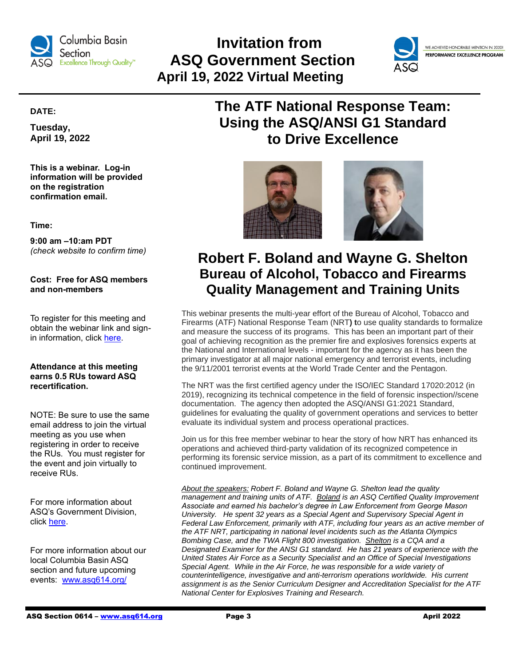

## **Invitation from ASQ Government Section April 19, 2022 Virtual Meeting**



WE ACHIEVED HONORABLE MENTION IN 2020! PERFORMANCE EXCELLENCE PROGRAM

### **DATE:**

**Tuesday, April 19, 2022**

**This is a webinar. Log-in information will be provided on the registration confirmation email.**

**Time:**

**9:00 am –10:am PDT** *(check website to confirm time)*

**Cost: Free for ASQ members and non-members**

To register for this meeting and obtain the webinar link and signin information, click [here.](https://my.asq.org/communities/events/item/155/60/3983)

#### **Attendance at this meeting earns 0.5 RUs toward ASQ recertification.**

NOTE: Be sure to use the same email address to join the virtual meeting as you use when registering in order to receive the RUs. You must register for the event and join virtually to receive RUs.

For more information about ASQ's Government Division, click [here.](https://my.asq.org/communities/home/155)

For more information about our local Columbia Basin ASQ section and future upcoming events: [www.asq614.org/](http://www.asq614.org/)

## **The ATF National Response Team: Using the ASQ/ANSI G1 Standard to Drive Excellence**





## **Robert F. Boland and Wayne G. Shelton Bureau of Alcohol, Tobacco and Firearms Quality Management and Training Units**

This webinar presents the multi-year effort of the Bureau of Alcohol, Tobacco and Firearms (ATF) National Response Team (NRT**) t**o use quality standards to formalize and measure the success of its programs. This has been an important part of their goal of achieving recognition as the premier fire and explosives forensics experts at the National and International levels - important for the agency as it has been the primary investigator at all major national emergency and terrorist events, including the 9/11/2001 terrorist events at the World Trade Center and the Pentagon.

The NRT was the first certified agency under the ISO/IEC Standard 17020:2012 (in 2019), recognizing its technical competence in the field of forensic inspection//scene documentation. The agency then adopted the ASQ/ANSI G1:2021 Standard, guidelines for evaluating the quality of government operations and services to better evaluate its individual system and process operational practices.

Join us for this free member webinar to hear the story of how NRT has enhanced its operations and achieved third-party validation of its recognized competence in performing its forensic service mission, as a part of its commitment to excellence and continued improvement.

*About the speakers: Robert F. Boland and Wayne G. Shelton lead the quality management and training units of ATF. Boland is an ASQ Certified Quality Improvement Associate and earned his bachelor's degree in Law Enforcement from George Mason University. He spent 32 years as a Special Agent and Supervisory Special Agent in Federal Law Enforcement, primarily with ATF, including four years as an active member of the ATF NRT, participating in national level incidents such as the Atlanta Olympics Bombing Case, and the TWA Flight 800 investigation. Shelton is a CQA and a Designated Examiner for the ANSI G1 standard. He has 21 years of experience with the United States Air Force as a Security Specialist and an Office of Special Investigations Special Agent. While in the Air Force, he was responsible for a wide variety of counterintelligence, investigative and anti-terrorism operations worldwide. His current assignment is as the Senior Curriculum Designer and Accreditation Specialist for the ATF National Center for Explosives Training and Research.*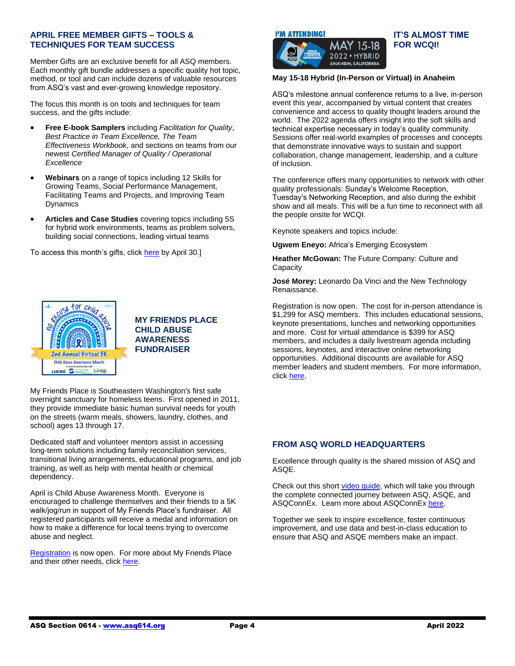#### **APRIL FREE MEMBER GIFTS – TOOLS & TECHNIQUES FOR TEAM SUCCESS**

Member Gifts are an exclusive benefit for all ASQ members. Each monthly gift bundle addresses a specific quality hot topic, method, or tool and can include dozens of valuable resources from ASQ's vast and ever-growing knowledge repository.

The focus this month is on tools and techniques for team success, and the gifts include:

- **Free E-book Samplers** including *Facilitation for Quality*, *Best Practice in Team Excellence, The Team Effectiveness Workbook*, and sections on teams from our newest *Certified Manager of Quality / Operational Excellence*
- **Webinars** on a range of topics including 12 Skills for Growing Teams, Social Performance Management, Facilitating Teams and Projects, and Improving Team **Dynamics**
- **Articles and Case Studies** covering topics including 5S for hybrid work environments, teams as problem solvers, building social connections, leading virtual teams

To access this month's gifts, clic[k here](https://asq.org/membership/member-gift/april-2022) by April 30.]



### **MY FRIENDS PLACE CHILD ABUSE AWARENESS FUNDRAISER**

My Friends Place is Southeastern Washington's first safe overnight sanctuary for homeless teens. First opened in 2011, they provide immediate basic human survival needs for youth on the streets (warm meals, showers, laundry, clothes, and school) ages 13 through 17.

Dedicated staff and volunteer mentors assist in accessing long-term solutions including family reconciliation services, transitional living arrangements, educational programs, and job training, as well as help with mental health or chemical dependency.

April is Child Abuse Awareness Month. Everyone is encouraged to challenge themselves and their friends to a 5K walk/jog/run in support of My Friends Place's fundraiser. All registered participants will receive a medal and information on how to make a difference for local teens trying to overcome abuse and neglect.

[Registration](https://www.facebook.com/events/257727859906550) is now open. For more about My Friends Place and their other needs, click [here.](https://www.safeharborsupportcenter.org/my-friends-place?msclkid=fb0d9319b06211ecb79ee60f1fdabfe0)



#### **IT'S ALMOST TIME FOR WCQI!**  $15-18$ 2022 · HYBRID

#### **May 15-18 Hybrid (In-Person or Virtual) in Anaheim**

**ANAHEIM, CALIFORNIA** 

ASQ's milestone annual conference returns to a live, in-person event this year, accompanied by virtual content that creates convenience and access to quality thought leaders around the world. The 2022 agenda offers insight into the soft skills and technical expertise necessary in today's quality community. Sessions offer real-world examples of processes and concepts that demonstrate innovative ways to sustain and support collaboration, change management, leadership, and a culture of inclusion.

The conference offers many opportunities to network with other quality professionals: Sunday's Welcome Reception, Tuesday's Networking Reception, and also during the exhibit show and all meals. This will be a fun time to reconnect with all the people onsite for WCQI.

Keynote speakers and topics include:

**Ugwem Eneyo:** Africa's Emerging Ecosystem

**Heather McGowan:** The Future Company: Culture and **Capacity** 

**José Morey:** Leonardo Da Vinci and the New Technology Renaissance.

Registration is now open. The cost for in-person attendance is \$1,299 for ASQ members. This includes educational sessions, keynote presentations, lunches and networking opportunities and more. Cost for virtual attendance is \$399 for ASQ members, and includes a daily livestream agenda including sessions, keynotes, and interactive online networking opportunities. Additional discounts are available for ASQ member leaders and student members. For more information, click [here.](https://asq.org/conferences/wcqi/program)

### **FROM ASQ WORLD HEADQUARTERS**

Excellence through quality is the shared mission of ASQ and ASQE.

Check out this short [video guide,](https://www.linkedin.com/posts/asq_asqs-connected-journey-activity-6913137783280705536-TtD1?utm_source=linkedin_share&utm_medium=member_desktop_web) which will take you through the complete connected journey between ASQ, ASQE, and ASQConnEx. Learn more about ASQConnE[x here.](https://asq.org/asqconnex)

Together we seek to inspire excellence, foster continuous improvement, and use data and best-in-class education to ensure that ASQ and ASQE members make an impact.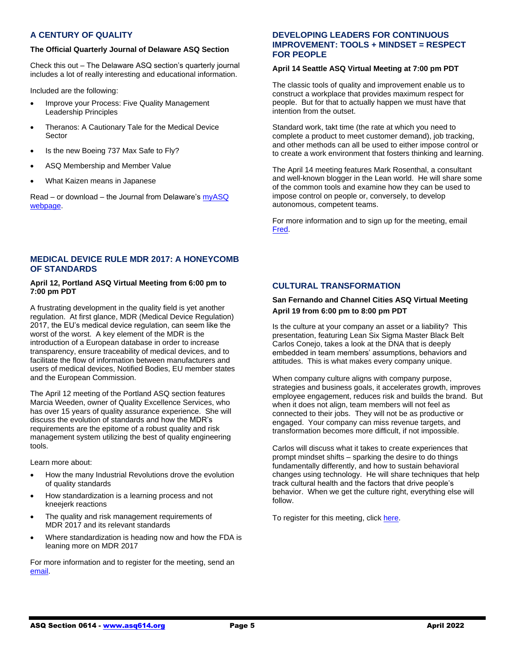### **A CENTURY OF QUALITY**

#### **The Official Quarterly Journal of Delaware ASQ Section**

Check this out – The Delaware ASQ section's quarterly journal includes a lot of really interesting and educational information.

Included are the following:

- Improve your Process: Five Quality Management Leadership Principles
- Theranos: A Cautionary Tale for the Medical Device **Sector**
- Is the new Boeing 737 Max Safe to Fly?
- ASQ Membership and Member Value
- What Kaizen means in Japanese

Read – or download – the Journal from Delaware's [myASQ](https://my.asq.org/communities/files/278/9822)  [webpage.](https://my.asq.org/communities/files/278/9822)

### **MEDICAL DEVICE RULE MDR 2017: A HONEYCOMB OF STANDARDS**

#### **April 12, Portland ASQ Virtual Meeting from 6:00 pm to 7:00 pm PDT**

A frustrating development in the quality field is yet another regulation. At first glance, MDR (Medical Device Regulation) 2017, the EU's medical device regulation, can seem like the worst of the worst. A key element of the MDR is the introduction of a European database in order to increase transparency, ensure traceability of medical devices, and to facilitate the flow of information between manufacturers and users of medical devices, Notified Bodies, EU member states and the European Commission.

The April 12 meeting of the Portland ASQ section features Marcia Weeden, owner of Quality Excellence Services, who has over 15 years of quality assurance experience. She will discuss the evolution of standards and how the MDR's requirements are the epitome of a robust quality and risk management system utilizing the best of quality engineering tools.

Learn more about:

- How the many Industrial Revolutions drove the evolution of quality standards
- How standardization is a learning process and not kneejerk reactions
- The quality and risk management requirements of MDR 2017 and its relevant standards
- Where standardization is heading now and how the FDA is leaning more on MDR 2017

For more information and to register for the meeting, send an [email.](mailto:asqportland0607@gmail.com)

#### **DEVELOPING LEADERS FOR CONTINUOUS IMPROVEMENT: TOOLS + MINDSET = RESPECT FOR PEOPLE**

### **April 14 Seattle ASQ Virtual Meeting at 7:00 pm PDT**

The classic tools of quality and improvement enable us to construct a workplace that provides maximum respect for people. But for that to actually happen we must have that intention from the outset.

Standard work, takt time (the rate at which you need to complete a product to meet customer demand), job tracking, and other methods can all be used to either impose control or to create a work environment that fosters thinking and learning.

The April 14 meeting features Mark Rosenthal, a consultant and well-known blogger in the Lean world. He will share some of the common tools and examine how they can be used to impose control on people or, conversely, to develop autonomous, competent teams.

For more information and to sign up for the meeting, email [Fred.](mailto:fred_cramer@hotmail.com)

### **CULTURAL TRANSFORMATION**

#### **San Fernando and Channel Cities ASQ Virtual Meeting April 19 from 6:00 pm to 8:00 pm PDT**

Is the culture at your company an asset or a liability? This presentation, featuring Lean Six Sigma Master Black Belt Carlos Conejo, takes a look at the DNA that is deeply embedded in team members' assumptions, behaviors and attitudes. This is what makes every company unique.

When company culture aligns with company purpose, strategies and business goals, it accelerates growth, improves employee engagement, reduces risk and builds the brand. But when it does not align, team members will not feel as connected to their jobs. They will not be as productive or engaged. Your company can miss revenue targets, and transformation becomes more difficult, if not impossible.

Carlos will discuss what it takes to create experiences that prompt mindset shifts – sparking the desire to do things fundamentally differently, and how to sustain behavioral changes using technology. He will share techniques that help track cultural health and the factors that drive people's behavior. When we get the culture right, everything else will follow.

To register for this meeting, click [here.](https://www.eventbrite.com/e/cultural-transformation-tickets-308341998217)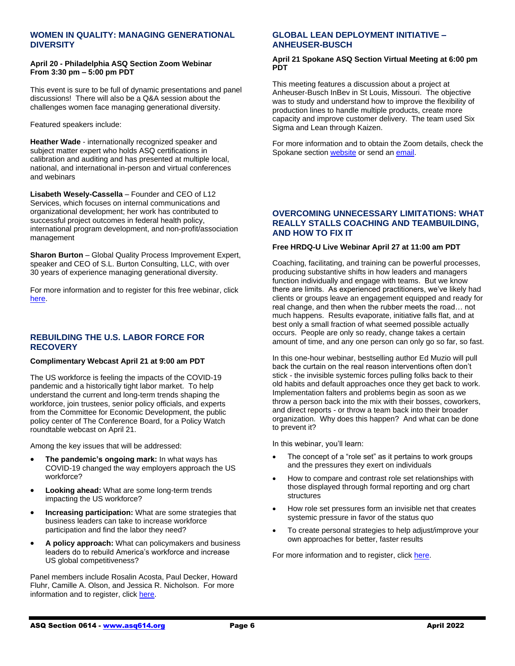#### **WOMEN IN QUALITY: MANAGING GENERATIONAL DIVERSITY**

#### **April 20 - Philadelphia ASQ Section Zoom Webinar From 3:30 pm – 5:00 pm PDT**

This event is sure to be full of dynamic presentations and panel discussions! There will also be a Q&A session about the challenges women face managing generational diversity.

Featured speakers include:

**Heather Wade** - internationally recognized speaker and subject matter expert who holds ASQ certifications in calibration and auditing and has presented at multiple local, national, and international in-person and virtual conferences and webinars

**Lisabeth Wesely-Cassella** – Founder and CEO of L12 Services, which focuses on internal communications and organizational development; her work has contributed to successful project outcomes in federal health policy, international program development, and non-profit/association management

**Sharon Burton** – Global Quality Process Improvement Expert, speaker and CEO of S.L. Burton Consulting, LLC, with over 30 years of experience managing generational diversity.

For more information and to register for this free webinar, click [here.](https://my.asq.org/communities/events/item/204/60/3933)

#### **REBUILDING THE U.S. LABOR FORCE FOR RECOVERY**

#### **Complimentary Webcast April 21 at 9:00 am PDT**

The US workforce is feeling the impacts of the COVID-19 pandemic and a historically tight labor market. To help understand the current and long-term trends shaping the workforce, join trustees, senior policy officials, and experts from the Committee for Economic Development, the public policy center of The Conference Board, for a Policy Watch roundtable webcast on April 21.

Among the key issues that will be addressed:

- **The pandemic's ongoing mark:** In what ways has COVID-19 changed the way employers approach the US workforce?
- **Looking ahead:** What are some long-term trends impacting the US workforce?
- **Increasing participation:** What are some strategies that business leaders can take to increase workforce participation and find the labor they need?
- **A policy approach:** What can policymakers and business leaders do to rebuild America's workforce and increase US global competitiveness?

Panel members include Rosalin Acosta, Paul Decker, Howard Fluhr, Camille A. Olson, and Jessica R. Nicholson. For more information and to register, clic[k here.](https://www.conference-board.org/webcast/policy-watch/April2022?mkt_tok=MjI1LVdCWi0wMjUAAAGDhW5-DPbskyBu7ObJyGZKUjPaIgB3iPhG9lnyN1G-0k6pefeLXcexYzkDvWy489-Sye2ZYsRbShi0eD-vbKAyhdacCREkNqBSRzCf0axg70cCPQ)

#### **GLOBAL LEAN DEPLOYMENT INITIATIVE – ANHEUSER-BUSCH**

#### **April 21 Spokane ASQ Section Virtual Meeting at 6:00 pm PDT**

This meeting features a discussion about a project at Anheuser-Busch InBev in St Louis, Missouri. The objective was to study and understand how to improve the flexibility of production lines to handle multiple products, create more capacity and improve customer delivery. The team used Six Sigma and Lean through Kaizen.

For more information and to obtain the Zoom details, check the Spokane section [website](https://my.asq.org/communities/home/238) or send an [email.](mailto:macandwife79@gmail.co)

#### **OVERCOMING UNNECESSARY LIMITATIONS: WHAT REALLY STALLS COACHING AND TEAMBUILDING, AND HOW TO FIX IT**

#### **Free HRDQ-U Live Webinar April 27 at 11:00 am PDT**

Coaching, facilitating, and training can be powerful processes, producing substantive shifts in how leaders and managers function individually and engage with teams. But we know there are limits. As experienced practitioners, we've likely had clients or groups leave an engagement equipped and ready for real change, and then when the rubber meets the road… not much happens. Results evaporate, initiative falls flat, and at best only a small fraction of what seemed possible actually occurs. People are only so ready, change takes a certain amount of time, and any one person can only go so far, so fast.

In this one-hour webinar, bestselling author Ed Muzio will pull back the curtain on the real reason interventions often don't stick - the invisible systemic forces pulling folks back to their old habits and default approaches once they get back to work. Implementation falters and problems begin as soon as we throw a person back into the mix with their bosses, coworkers, and direct reports - or throw a team back into their broader organization. Why does this happen? And what can be done to prevent it?

In this webinar, you'll learn:

- The concept of a "role set" as it pertains to work groups and the pressures they exert on individuals
- How to compare and contrast role set relationships with those displayed through formal reporting and org chart structures
- How role set pressures form an invisible net that creates systemic pressure in favor of the status quo
- To create personal strategies to help adjust/improve your own approaches for better, faster results

For more information and to register, clic[k here.](https://hrdqu.com/overcoming-unnecessary-limitations-webinar/)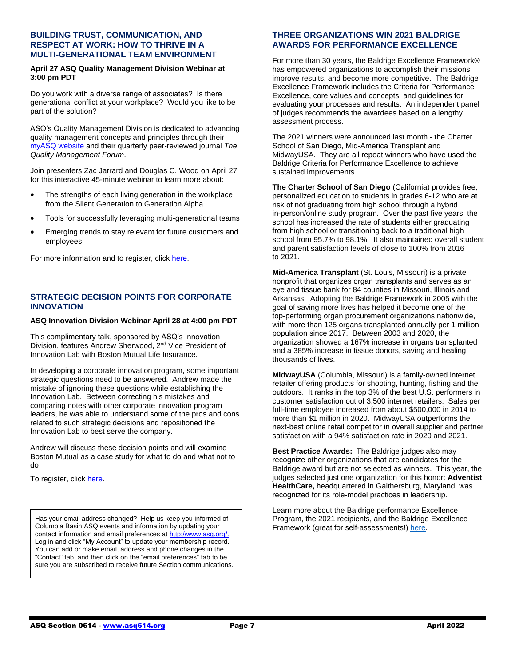#### **BUILDING TRUST, COMMUNICATION, AND RESPECT AT WORK: HOW TO THRIVE IN A MULTI-GENERATIONAL TEAM ENVIRONMENT**

#### **April 27 ASQ Quality Management Division Webinar at 3:00 pm PDT**

Do you work with a diverse range of associates? Is there generational conflict at your workplace? Would you like to be part of the solution?

ASQ's Quality Management Division is dedicated to advancing quality management concepts and principles through their [myASQ website](https://my.asq.org/communities/home/28) and their quarterly peer-reviewed journal *The Quality Management Forum*.

Join presenters Zac Jarrard and Douglas C. Wood on April 27 for this interactive 45-minute webinar to learn more about:

- The strengths of each living generation in the workplace from the Silent Generation to Generation Alpha
- Tools for successfully leveraging multi-generational teams
- Emerging trends to stay relevant for future customers and employees

For more information and to register, clic[k here.](https://my.asq.org/communities/events/item/28/60/3754)

### **STRATEGIC DECISION POINTS FOR CORPORATE INNOVATION**

#### **ASQ Innovation Division Webinar April 28 at 4:00 pm PDT**

This complimentary talk, sponsored by ASQ's Innovation Division, features Andrew Sherwood, 2<sup>nd</sup> Vice President of Innovation Lab with Boston Mutual Life Insurance.

In developing a corporate innovation program, some important strategic questions need to be answered. Andrew made the mistake of ignoring these questions while establishing the Innovation Lab. Between correcting his mistakes and comparing notes with other corporate innovation program leaders, he was able to understand some of the pros and cons related to such strategic decisions and repositioned the Innovation Lab to best serve the company.

Andrew will discuss these decision points and will examine Boston Mutual as a case study for what to do and what not to do

To register, click [here.](https://asq.webex.com/mw3300/mywebex/default.do?nomenu=true&siteurl=asq&service=6&rnd=0.8975067951381529&main_url=https%3A%2F%2Fasq.webex.com%2Fec3300%2Feventcenter%2Fevent%2FeventAction.do%3FtheAction%3Ddetail%26%26%26EMK%3D4832534b00000005542573b31bcb1d3d4f213ccd59ee41b8584157c5fb4b1fd818519df31178b00c%26siteurl%3Dasq%26confViewID%3D218333005165394703%26encryptTicket%3DSDJTSwAAAAUVPpZaMUROWSD4pD8ha4HugdmaQ3RuqHB8ySIHiGPBmg2%26)

Has your email address changed? Help us keep you informed of Columbia Basin ASQ events and information by updating your contact information and email preferences a[t http://www.asq.org/.](http://www.asq.org/)  Log in and click "My Account" to update your membership record. You can add or make email, address and phone changes in the "Contact" tab, and then click on the "email preferences" tab to be sure you are subscribed to receive future Section communications.

#### **THREE ORGANIZATIONS WIN 2021 BALDRIGE AWARDS FOR PERFORMANCE EXCELLENCE**

For more than 30 years, the Baldrige Excellence Framework® has empowered organizations to accomplish their missions, improve results, and become more competitive. The Baldrige Excellence Framework includes the Criteria for Performance Excellence, core values and concepts, and guidelines for evaluating your processes and results. An independent panel of judges recommends the awardees based on a lengthy assessment process.

The 2021 winners were announced last month - the Charter School of San Diego, Mid-America Transplant and MidwayUSA. They are all repeat winners who have used the Baldrige Criteria for Performance Excellence to achieve sustained improvements.

**The Charter School of San Diego** (California) provides free, personalized education to students in grades 6-12 who are at risk of not graduating from high school through a hybrid in-person/online study program. Over the past five years, the school has increased the rate of students either graduating from high school or transitioning back to a traditional high school from 95.7% to 98.1%. It also maintained overall student and parent satisfaction levels of close to 100% from 2016 to 2021.

**Mid-America Transplant** (St. Louis, Missouri) is a private nonprofit that organizes organ transplants and serves as an eye and tissue bank for 84 counties in Missouri, Illinois and Arkansas. Adopting the Baldrige Framework in 2005 with the goal of saving more lives has helped it become one of the top-performing organ procurement organizations nationwide, with more than 125 organs transplanted annually per 1 million population since 2017. Between 2003 and 2020, the organization showed a 167% increase in organs transplanted and a 385% increase in tissue donors, saving and healing thousands of lives.

**MidwayUSA** (Columbia, Missouri) is a family-owned internet retailer offering products for shooting, hunting, fishing and the outdoors. It ranks in the top 3% of the best U.S. performers in customer satisfaction out of 3,500 internet retailers. Sales per full-time employee increased from about \$500,000 in 2014 to more than \$1 million in 2020. MidwayUSA outperforms the next-best online retail competitor in overall supplier and partner satisfaction with a 94% satisfaction rate in 2020 and 2021.

**Best Practice Awards:** The Baldrige judges also may recognize other organizations that are candidates for the Baldrige award but are not selected as winners. This year, the judges selected just one organization for this honor: **Adventist HealthCare,** headquartered in Gaithersburg, Maryland, was recognized for its role-model practices in leadership.

Learn more about the Baldrige performance Excellence Program, the 2021 recipients, and the Baldrige Excellence Framework (great for self-assessments!) [here.](https://www.nist.gov/baldrige)